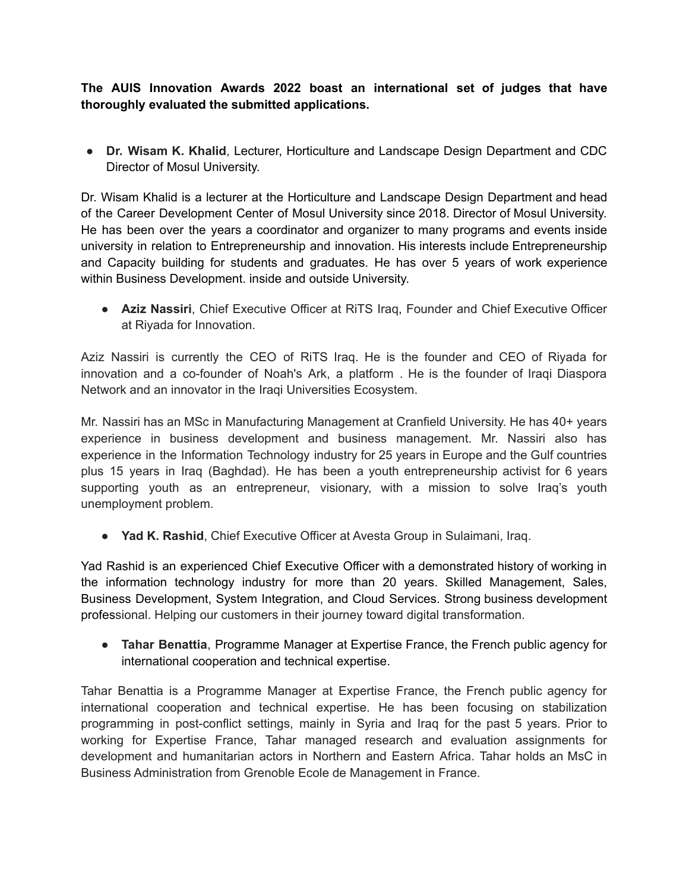**The AUIS Innovation Awards 2022 boast an international set of judges that have thoroughly evaluated the submitted applications.**

● **Dr. Wisam K. Khalid**, Lecturer, Horticulture and Landscape Design Department and CDC Director of Mosul University.

Dr. Wisam Khalid is a lecturer at the Horticulture and Landscape Design Department and head of the Career Development Center of Mosul University since 2018. Director of Mosul University. He has been over the years a coordinator and organizer to many programs and events inside university in relation to Entrepreneurship and innovation. His interests include Entrepreneurship and Capacity building for students and graduates. He has over 5 years of work experience within Business Development. inside and outside University.

● **Aziz Nassiri**, Chief Executive Officer at RiTS Iraq, Founder and Chief Executive Officer at Riyada for Innovation.

Aziz Nassiri is currently the CEO of RiTS Iraq. He is the founder and CEO of Riyada for innovation and a co-founder of Noah's Ark, a platform . He is the founder of Iraqi Diaspora Network and an innovator in the Iraqi Universities Ecosystem.

Mr. Nassiri has an MSc in Manufacturing Management at Cranfield University. He has 40+ years experience in business development and business management. Mr. Nassiri also has experience in the Information Technology industry for 25 years in Europe and the Gulf countries plus 15 years in Iraq (Baghdad). He has been a youth entrepreneurship activist for 6 years supporting youth as an entrepreneur, visionary, with a mission to solve Iraq's youth unemployment problem.

● **Yad K. Rashid**, Chief Executive Officer at Avesta Group in Sulaimani, Iraq.

Yad Rashid is an experienced Chief Executive Officer with a demonstrated history of working in the information technology industry for more than 20 years. Skilled Management, Sales, Business Development, System Integration, and Cloud Services. Strong business development professional. Helping our customers in their journey toward digital transformation.

● **Tahar Benattia**, Programme Manager at Expertise France, the French public agency for international cooperation and technical expertise.

Tahar Benattia is a Programme Manager at Expertise France, the French public agency for international cooperation and technical expertise. He has been focusing on stabilization programming in post-conflict settings, mainly in Syria and Iraq for the past 5 years. Prior to working for Expertise France, Tahar managed research and evaluation assignments for development and humanitarian actors in Northern and Eastern Africa. Tahar holds an MsC in Business Administration from Grenoble Ecole de Management in France.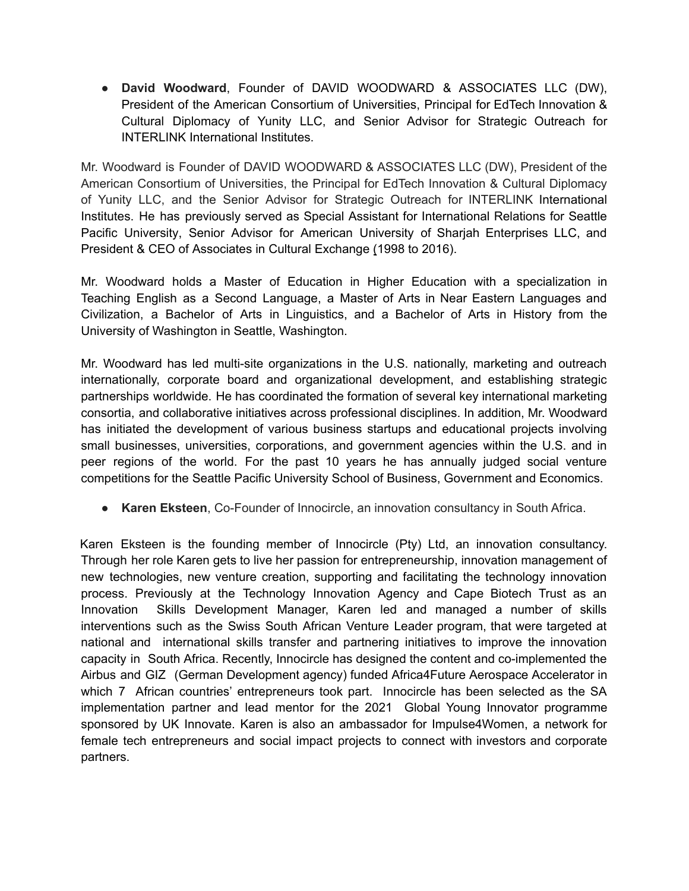● **David Woodward**, Founder of DAVID WOODWARD & ASSOCIATES LLC (DW), President of the American Consortium of [Universities](https://americanuniversities.org/), Principal for EdTech Innovation & Cultural Diplomacy of [Yunity](https://www.yunity.io/) LLC, and Senior Advisor for Strategic Outreach for INTERLINK International Institutes.

Mr. Woodward is Founder of DAVID WOODWARD & ASSOCIATES LLC (DW), President of the American Consortium of [Universities](https://americanuniversities.org/), the Principal for EdTech Innovation & Cultural Diplomacy of [Yunity](https://www.yunity.io/) LLC, and the Senior Advisor for Strategic Outreach for INTERLINK [International](https://interlink.edu/) [Institutes.](https://interlink.edu/) He has previously served as Special Assistant for International Relations for [Seattle](http://spu.edu/graduate-admissions/admissions/international-admissions) Pacific [University,](http://spu.edu/graduate-admissions/admissions/international-admissions) Senior Advisor for American University of Sharjah [Enterprises](https://srtip.ae/) LLC, and President & CEO of [Associates](https://acebook.wordpress.com/2014/06/03/a-c-e-culminates-40th-anniversary-celebration-at-nafsa-luncheon/) in Cultural Exchange (1998 to 2016).

Mr. Woodward holds a Master of Education in Higher Education with a specialization in Teaching English as a Second Language, a Master of Arts in Near Eastern Languages and Civilization, a Bachelor of Arts in Linguistics, and a Bachelor of Arts in History from the University of Washington in Seattle, Washington.

Mr. Woodward has led multi-site organizations in the U.S. nationally, marketing and outreach internationally, corporate board and organizational development, and establishing strategic partnerships worldwide. He has coordinated the formation of several key international marketing consortia, and collaborative initiatives across professional disciplines. In addition, Mr. Woodward has initiated the development of various business startups and educational projects involving small businesses, universities, corporations, and government agencies within the U.S. and in peer regions of the world. For the past 10 years he has annually judged social venture competitions for the Seattle Pacific University School of Business, Government and Economics.

● **Karen Eksteen**, Co-Founder of Innocircle, an innovation consultancy in South Africa.

Karen Eksteen is the founding member of Innocircle (Pty) Ltd, an innovation consultancy. Through her role Karen gets to live her passion for entrepreneurship, innovation management of new technologies, new venture creation, supporting and facilitating the technology innovation process. Previously at the Technology Innovation Agency and Cape Biotech Trust as an Innovation Skills Development Manager, Karen led and managed a number of skills interventions such as the Swiss South African Venture Leader program, that were targeted at national and international skills transfer and partnering initiatives to improve the innovation capacity in South Africa. Recently, Innocircle has designed the content and co-implemented the Airbus and GIZ (German Development agency) funded Africa4Future Aerospace Accelerator in which 7 African countries' entrepreneurs took part. Innocircle has been selected as the SA implementation partner and lead mentor for the 2021 Global Young Innovator programme sponsored by UK Innovate. Karen is also an ambassador for Impulse4Women, a network for female tech entrepreneurs and social impact projects to connect with investors and corporate partners.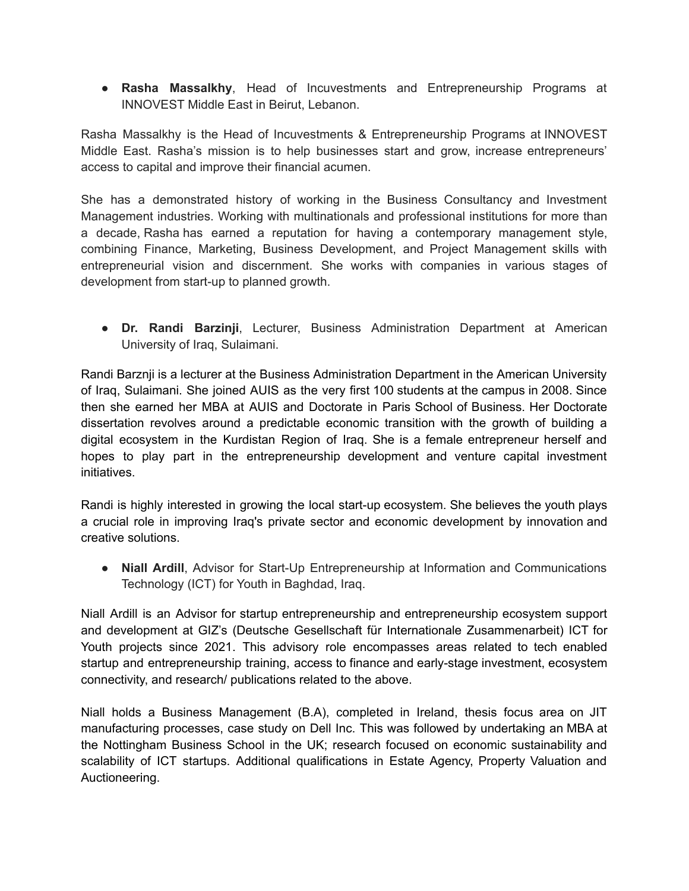● **Rasha Massalkhy**, Head of Incuvestments and Entrepreneurship Programs at INNOVEST Middle East in Beirut, Lebanon.

Rasha Massalkhy is the Head of Incuvestments & Entrepreneurship Programs at INNOVEST Middle East. Rasha's mission is to help businesses start and grow, increase entrepreneurs' access to capital and improve their financial acumen.

She has a demonstrated history of working in the Business Consultancy and Investment Management industries. Working with multinationals and professional institutions for more than a decade, Rasha has earned a reputation for having a contemporary management style, combining Finance, Marketing, Business Development, and Project Management skills with entrepreneurial vision and discernment. She works with companies in various stages of development from start-up to planned growth.

● **Dr. Randi Barzinji**, Lecturer, Business Administration Department at American University of Iraq, Sulaimani.

Randi Barznji is a lecturer at the Business Administration Department in the American University of Iraq, Sulaimani. She joined AUIS as the very first 100 students at the campus in 2008. Since then she earned her MBA at AUIS and Doctorate in Paris School of Business. Her Doctorate dissertation revolves around a predictable economic transition with the growth of building a digital ecosystem in the Kurdistan Region of Iraq. She is a female entrepreneur herself and hopes to play part in the entrepreneurship development and venture capital investment initiatives.

Randi is highly interested in growing the local start-up ecosystem. She believes the youth plays a crucial role in improving Iraq's private sector and economic development by innovation and creative solutions.

● **Niall Ardill**, Advisor for Start-Up Entrepreneurship at Information and Communications Technology (ICT) for Youth in Baghdad, Iraq.

Niall Ardill is an Advisor for startup entrepreneurship and entrepreneurship ecosystem support and development at GIZ's (Deutsche Gesellschaft für Internationale Zusammenarbeit) ICT for Youth projects since 2021. This advisory role encompasses areas related to tech enabled startup and entrepreneurship training, access to finance and early-stage investment, ecosystem connectivity, and research/ publications related to the above.

Niall holds a Business Management (B.A), completed in Ireland, thesis focus area on JIT manufacturing processes, case study on Dell Inc. This was followed by undertaking an MBA at the Nottingham Business School in the UK; research focused on economic sustainability and scalability of ICT startups. Additional qualifications in Estate Agency, Property Valuation and Auctioneering.